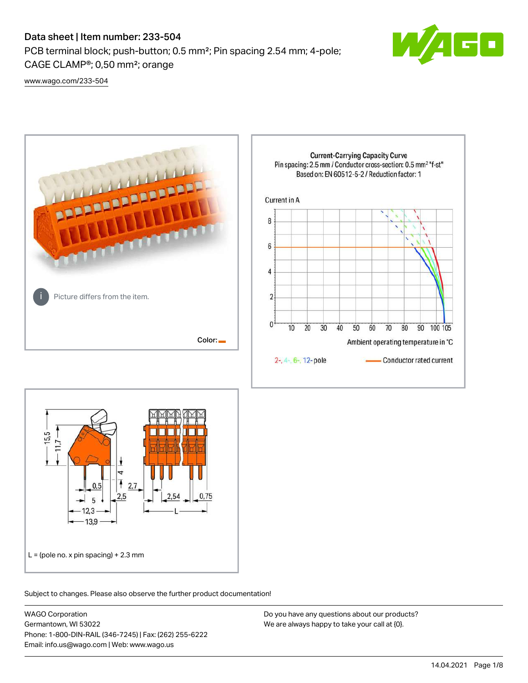# Data sheet | Item number: 233-504

PCB terminal block; push-button; 0.5 mm²; Pin spacing 2.54 mm; 4-pole; CAGE CLAMP®; 0,50 mm²; orange

 $\blacksquare$ 

[www.wago.com/233-504](http://www.wago.com/233-504)



 $L =$  (pole no. x pin spacing) + 2.3 mm

13,9

Subject to changes. Please also observe the further product documentation!

0.75

WAGO Corporation Germantown, WI 53022 Phone: 1-800-DIN-RAIL (346-7245) | Fax: (262) 255-6222 Email: info.us@wago.com | Web: www.wago.us

Ŧ  $2,7$  $2,5$ 

> Do you have any questions about our products? We are always happy to take your call at {0}.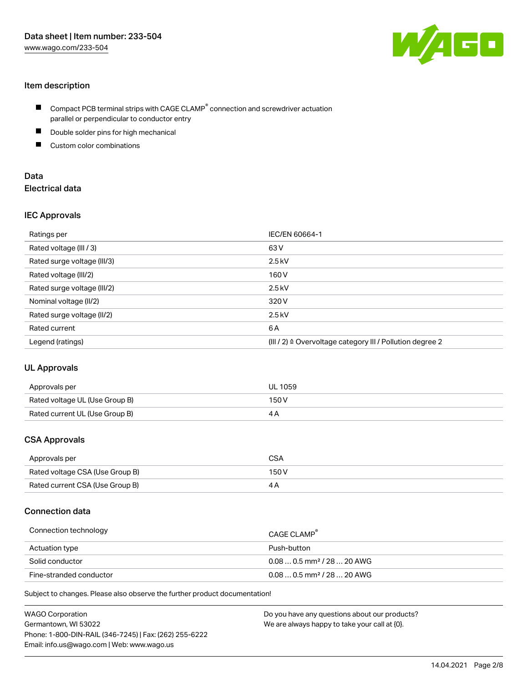

# Item description

- $\blacksquare$  Compact PCB terminal strips with CAGE CLAMP<sup>®</sup> connection and screwdriver actuation parallel or perpendicular to conductor entry
- $\blacksquare$ Double solder pins for high mechanical
- Custom color combinations

## Data Electrical data

#### IEC Approvals

| Ratings per                 | IEC/EN 60664-1                                                        |
|-----------------------------|-----------------------------------------------------------------------|
| Rated voltage (III / 3)     | 63 V                                                                  |
| Rated surge voltage (III/3) | $2.5$ kV                                                              |
| Rated voltage (III/2)       | 160 V                                                                 |
| Rated surge voltage (III/2) | $2.5$ kV                                                              |
| Nominal voltage (II/2)      | 320 V                                                                 |
| Rated surge voltage (II/2)  | $2.5$ kV                                                              |
| Rated current               | 6A                                                                    |
| Legend (ratings)            | $(III / 2)$ $\triangle$ Overvoltage category III / Pollution degree 2 |

### UL Approvals

| Approvals per                  | UL 1059 |  |
|--------------------------------|---------|--|
| Rated voltage UL (Use Group B) | 150 V   |  |
| Rated current UL (Use Group B) |         |  |

#### CSA Approvals

| Approvals per                   | CSA   |
|---------------------------------|-------|
| Rated voltage CSA (Use Group B) | 150 V |
| Rated current CSA (Use Group B) |       |

#### Connection data

| Connection technology   | CAGE CLAMP                             |
|-------------------------|----------------------------------------|
| Actuation type          | Push-button                            |
| Solid conductor         | $0.080.5$ mm <sup>2</sup> / 28  20 AWG |
| Fine-stranded conductor | $0.080.5$ mm <sup>2</sup> / 28  20 AWG |

Subject to changes. Please also observe the further product documentation!

| <b>WAGO Corporation</b>                                | Do you have any questions about our products? |
|--------------------------------------------------------|-----------------------------------------------|
| Germantown, WI 53022                                   | We are always happy to take your call at {0}. |
| Phone: 1-800-DIN-RAIL (346-7245)   Fax: (262) 255-6222 |                                               |
| Email: info.us@wago.com   Web: www.wago.us             |                                               |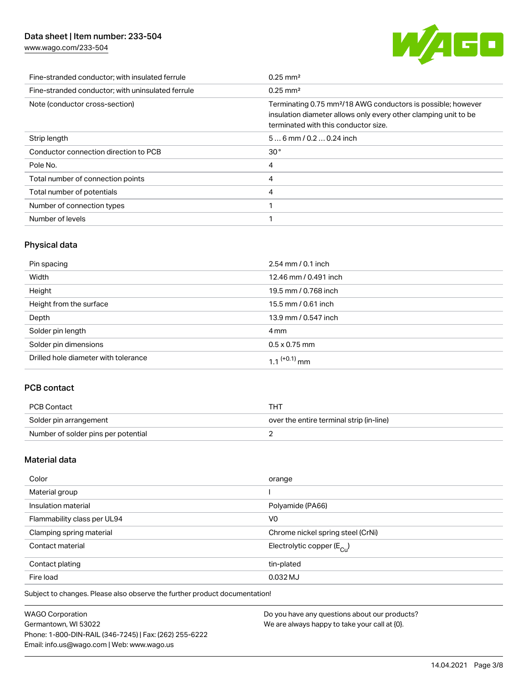# Data sheet | Item number: 233-504

[www.wago.com/233-504](http://www.wago.com/233-504)



| Fine-stranded conductor; with insulated ferrule   | $0.25 \text{ mm}^2$                                                                                                                                                                 |
|---------------------------------------------------|-------------------------------------------------------------------------------------------------------------------------------------------------------------------------------------|
| Fine-stranded conductor; with uninsulated ferrule | $0.25 \text{ mm}^2$                                                                                                                                                                 |
| Note (conductor cross-section)                    | Terminating 0.75 mm <sup>2</sup> /18 AWG conductors is possible; however<br>insulation diameter allows only every other clamping unit to be<br>terminated with this conductor size. |
| Strip length                                      | $56$ mm $/ 0.20.24$ inch                                                                                                                                                            |
| Conductor connection direction to PCB             | 30 <sup>°</sup>                                                                                                                                                                     |
| Pole No.                                          | 4                                                                                                                                                                                   |
| Total number of connection points                 | 4                                                                                                                                                                                   |
| Total number of potentials                        | 4                                                                                                                                                                                   |
| Number of connection types                        |                                                                                                                                                                                     |
| Number of levels                                  |                                                                                                                                                                                     |

# Physical data

| Pin spacing                          | 2.54 mm / 0.1 inch       |
|--------------------------------------|--------------------------|
| Width                                | 12.46 mm / 0.491 inch    |
| Height                               | 19.5 mm / 0.768 inch     |
| Height from the surface              | 15.5 mm / 0.61 inch      |
| Depth                                | 13.9 mm / 0.547 inch     |
| Solder pin length                    | 4 mm                     |
| Solder pin dimensions                | $0.5 \times 0.75$ mm     |
| Drilled hole diameter with tolerance | 1 1 <sup>(+0.1)</sup> mm |

#### PCB contact

| PCB Contact                         | тнт                                      |
|-------------------------------------|------------------------------------------|
| Solder pin arrangement              | over the entire terminal strip (in-line) |
| Number of solder pins per potential |                                          |

## Material data

| orange                                  |
|-----------------------------------------|
|                                         |
| Polyamide (PA66)                        |
| V <sub>0</sub>                          |
| Chrome nickel spring steel (CrNi)       |
| Electrolytic copper ( $E_{\text{Cu}}$ ) |
| tin-plated                              |
| 0.032 MJ                                |
|                                         |

Subject to changes. Please also observe the further product documentation!

| <b>WAGO Corporation</b>                                | Do you have any questions about our products? |
|--------------------------------------------------------|-----------------------------------------------|
| Germantown, WI 53022                                   | We are always happy to take your call at {0}. |
| Phone: 1-800-DIN-RAIL (346-7245)   Fax: (262) 255-6222 |                                               |
| Email: info.us@wago.com   Web: www.wago.us             |                                               |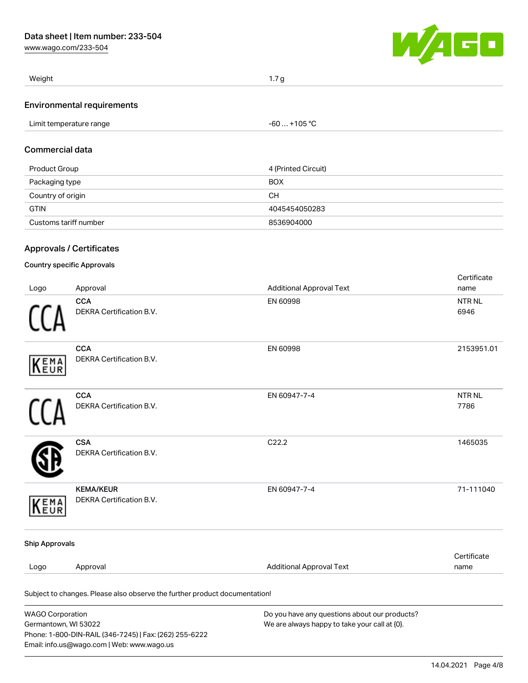[www.wago.com/233-504](http://www.wago.com/233-504)



| Weight                            | 1.7 <sub>g</sub>    |  |
|-----------------------------------|---------------------|--|
| <b>Environmental requirements</b> |                     |  |
| Limit temperature range           | $-60+105 °C$        |  |
| <b>Commercial data</b>            |                     |  |
| Product Group                     | 4 (Printed Circuit) |  |
| Packaging type                    | <b>BOX</b>          |  |
| Country of origin                 | <b>CH</b>           |  |
| <b>GTIN</b>                       | 4045454050283       |  |
| Customs tariff number             | 8536904000          |  |

#### Country specific Approvals

Email: info.us@wago.com | Web: www.wago.us

| Logo                                            | Approval                                                                   | <b>Additional Approval Text</b>                                                                | Certificate<br>name   |
|-------------------------------------------------|----------------------------------------------------------------------------|------------------------------------------------------------------------------------------------|-----------------------|
|                                                 | <b>CCA</b><br>DEKRA Certification B.V.                                     | EN 60998                                                                                       | <b>NTRNL</b><br>6946  |
| EMA<br>EUR                                      | <b>CCA</b><br>DEKRA Certification B.V.                                     | EN 60998                                                                                       | 2153951.01            |
|                                                 | <b>CCA</b><br>DEKRA Certification B.V.                                     | EN 60947-7-4                                                                                   | <b>NTR NL</b><br>7786 |
|                                                 | <b>CSA</b><br>DEKRA Certification B.V.                                     | C <sub>22.2</sub>                                                                              | 1465035               |
| EMA<br>EUR                                      | <b>KEMA/KEUR</b><br>DEKRA Certification B.V.                               | EN 60947-7-4                                                                                   | 71-111040             |
| <b>Ship Approvals</b>                           |                                                                            |                                                                                                |                       |
| Logo                                            | Approval                                                                   | <b>Additional Approval Text</b>                                                                | Certificate<br>name   |
|                                                 | Subject to changes. Please also observe the further product documentation! |                                                                                                |                       |
| <b>WAGO Corporation</b><br>Germantown, WI 53022 | Phone: 1-800-DIN-RAIL (346-7245)   Fax: (262) 255-6222                     | Do you have any questions about our products?<br>We are always happy to take your call at {0}. |                       |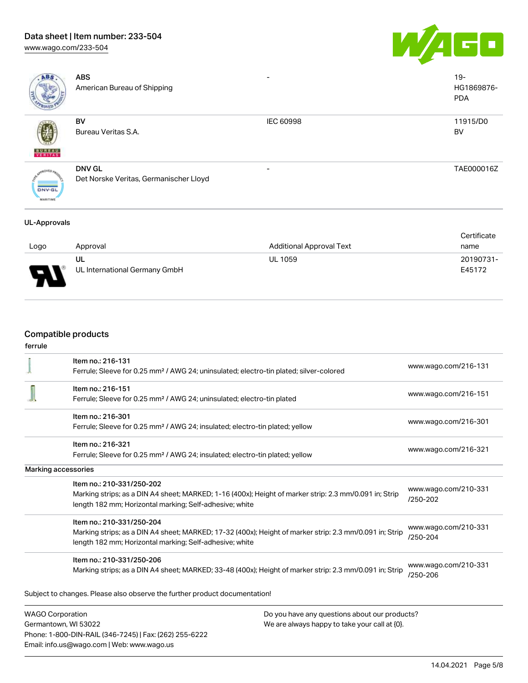# Data sheet | Item number: 233-504





| ABS                              | <b>ABS</b><br>American Bureau of Shipping               |                  | $19 -$<br>HG1869876-<br><b>PDA</b> |
|----------------------------------|---------------------------------------------------------|------------------|------------------------------------|
| <b>BUREAU</b>                    | BV<br>Bureau Veritas S.A.                               | <b>IEC 60998</b> | 11915/D0<br>BV                     |
| <b>DNV-GL</b><br><b>MARITIME</b> | <b>DNV GL</b><br>Det Norske Veritas, Germanischer Lloyd |                  | TAE000016Z                         |

## UL-Approvals

|                               |                               |                                 | Certificate |
|-------------------------------|-------------------------------|---------------------------------|-------------|
| Logo                          | Approval                      | <b>Additional Approval Text</b> | name        |
|                               | UL                            | <b>UL 1059</b>                  | 20190731-   |
| J<br>$\overline{\phantom{a}}$ | UL International Germany GmbH |                                 | E45172      |

# Compatible products

Email: info.us@wago.com | Web: www.wago.us

### ferrule

|                         | Item no.: 216-131                                                                                       |                                                  | www.wago.com/216-131             |
|-------------------------|---------------------------------------------------------------------------------------------------------|--------------------------------------------------|----------------------------------|
|                         | Ferrule; Sleeve for 0.25 mm <sup>2</sup> / AWG 24; uninsulated; electro-tin plated; silver-colored      |                                                  |                                  |
|                         | Item no.: 216-151                                                                                       |                                                  | www.wago.com/216-151             |
|                         | Ferrule; Sleeve for 0.25 mm <sup>2</sup> / AWG 24; uninsulated; electro-tin plated                      |                                                  |                                  |
|                         | Item no.: 216-301                                                                                       |                                                  |                                  |
|                         | Ferrule; Sleeve for 0.25 mm <sup>2</sup> / AWG 24; insulated; electro-tin plated; yellow                |                                                  | www.wago.com/216-301             |
|                         | Item no.: 216-321                                                                                       |                                                  |                                  |
|                         | Ferrule; Sleeve for 0.25 mm <sup>2</sup> / AWG 24; insulated; electro-tin plated; yellow                |                                                  | www.wago.com/216-321             |
|                         | <b>Marking accessories</b>                                                                              |                                                  |                                  |
|                         | Item no.: 210-331/250-202                                                                               |                                                  | www.wago.com/210-331             |
|                         | Marking strips; as a DIN A4 sheet; MARKED; 1-16 (400x); Height of marker strip: 2.3 mm/0.091 in; Strip  |                                                  | /250-202                         |
|                         | length 182 mm; Horizontal marking; Self-adhesive; white                                                 |                                                  |                                  |
|                         | Item no.: 210-331/250-204                                                                               |                                                  |                                  |
|                         | Marking strips; as a DIN A4 sheet; MARKED; 17-32 (400x); Height of marker strip: 2.3 mm/0.091 in; Strip |                                                  | www.wago.com/210-331<br>/250-204 |
|                         | length 182 mm; Horizontal marking; Self-adhesive; white                                                 |                                                  |                                  |
|                         | Item no.: 210-331/250-206                                                                               |                                                  |                                  |
|                         | Marking strips; as a DIN A4 sheet; MARKED; 33-48 (400x); Height of marker strip: 2.3 mm/0.091 in; Strip |                                                  | www.wago.com/210-331<br>/250-206 |
|                         | Subject to changes. Please also observe the further product documentation!                              |                                                  |                                  |
| <b>WAGO Corporation</b> |                                                                                                         | Do you have any questions about our products?    |                                  |
| Germantown, WI 53022    |                                                                                                         | We are always happy to take your call at $[0]$ . |                                  |
|                         | Phone: 1-800-DIN-RAIL (346-7245)   Fax: (262) 255-6222                                                  |                                                  |                                  |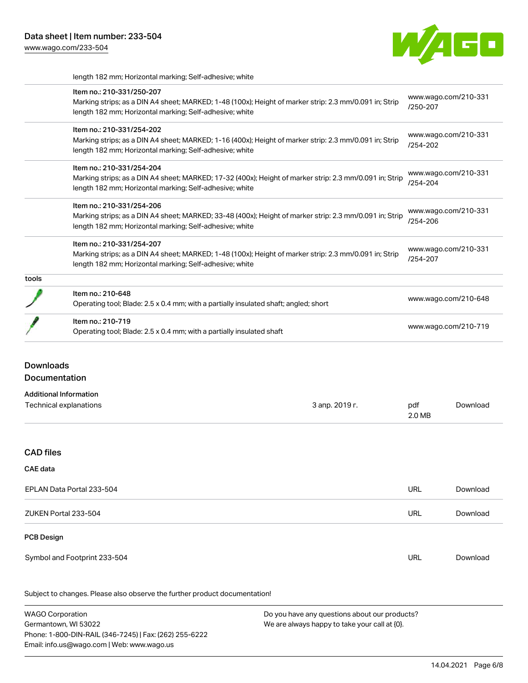length 182 mm; Horizontal marking; Self-adhesive; white



|       | Item no.: 210-331/250-207<br>Marking strips; as a DIN A4 sheet; MARKED; 1-48 (100x); Height of marker strip: 2.3 mm/0.091 in; Strip<br>length 182 mm; Horizontal marking; Self-adhesive; white  | www.wago.com/210-331<br>/250-207 |
|-------|-------------------------------------------------------------------------------------------------------------------------------------------------------------------------------------------------|----------------------------------|
|       | Item no.: 210-331/254-202<br>Marking strips; as a DIN A4 sheet; MARKED; 1-16 (400x); Height of marker strip: 2.3 mm/0.091 in; Strip<br>length 182 mm; Horizontal marking; Self-adhesive; white  | www.wago.com/210-331<br>/254-202 |
|       | Item no.: 210-331/254-204<br>Marking strips; as a DIN A4 sheet; MARKED; 17-32 (400x); Height of marker strip: 2.3 mm/0.091 in; Strip<br>length 182 mm; Horizontal marking; Self-adhesive; white | www.wago.com/210-331<br>/254-204 |
|       | Item no.: 210-331/254-206<br>Marking strips; as a DIN A4 sheet; MARKED; 33-48 (400x); Height of marker strip: 2.3 mm/0.091 in; Strip<br>length 182 mm; Horizontal marking; Self-adhesive; white | www.wago.com/210-331<br>/254-206 |
|       | Item no.: 210-331/254-207<br>Marking strips; as a DIN A4 sheet; MARKED; 1-48 (100x); Height of marker strip: 2.3 mm/0.091 in; Strip<br>length 182 mm; Horizontal marking; Self-adhesive; white  | www.wago.com/210-331<br>/254-207 |
| tools |                                                                                                                                                                                                 |                                  |
|       | Item no.: 210-648<br>Operating tool; Blade: 2.5 x 0.4 mm; with a partially insulated shaft; angled; short                                                                                       | www.wago.com/210-648             |
|       | Item no.: 210-719<br>Operating tool; Blade: 2.5 x 0.4 mm; with a partially insulated shaft                                                                                                      | www.wago.com/210-719             |

# Downloads Documentation

| <b>Additional Information</b> |                |        |          |
|-------------------------------|----------------|--------|----------|
| Technical explanations        | 3 апр. 2019 г. | pdf    | Download |
|                               |                | 2.0 MB |          |

# CAD files

## CAE data

| EPLAN Data Portal 233-504    | URL        | Download |
|------------------------------|------------|----------|
| ZUKEN Portal 233-504         | URL        | Download |
| <b>PCB Design</b>            |            |          |
| Symbol and Footprint 233-504 | <b>URL</b> | Download |

Subject to changes. Please also observe the further product documentation!

WAGO Corporation Germantown, WI 53022 Phone: 1-800-DIN-RAIL (346-7245) | Fax: (262) 255-6222 Email: info.us@wago.com | Web: www.wago.us Do you have any questions about our products? We are always happy to take your call at {0}.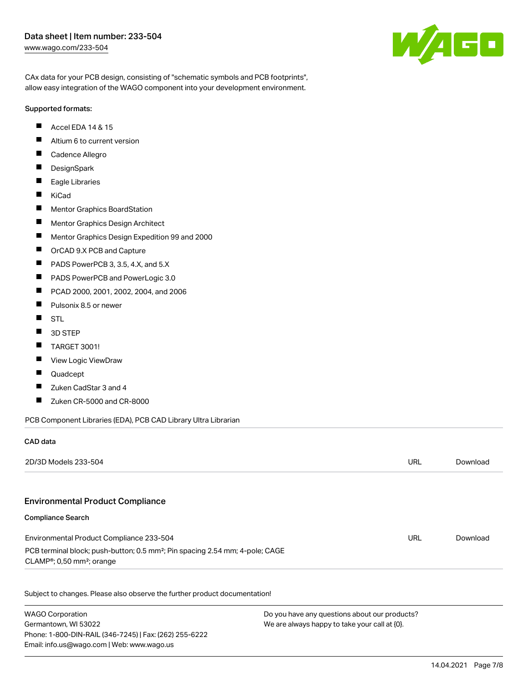# Data sheet | Item number: 233-504 [www.wago.com/233-504](http://www.wago.com/233-504)



CAx data for your PCB design, consisting of "schematic symbols and PCB footprints", allow easy integration of the WAGO component into your development environment.

#### Supported formats:

- $\blacksquare$ Accel EDA 14 & 15
- $\blacksquare$ Altium 6 to current version
- $\blacksquare$ Cadence Allegro
- $\blacksquare$ **DesignSpark**
- $\blacksquare$ Eagle Libraries
- $\blacksquare$ KiCad
- $\blacksquare$ Mentor Graphics BoardStation
- $\blacksquare$ Mentor Graphics Design Architect
- $\blacksquare$ Mentor Graphics Design Expedition 99 and 2000
- П OrCAD 9.X PCB and Capture
- $\blacksquare$ PADS PowerPCB 3, 3.5, 4.X, and 5.X
- $\blacksquare$ PADS PowerPCB and PowerLogic 3.0
- $\blacksquare$ PCAD 2000, 2001, 2002, 2004, and 2006
- $\blacksquare$ Pulsonix 8.5 or newer
- $\blacksquare$ STL
- $\blacksquare$ 3D STEP
- $\blacksquare$ TARGET 3001!
- $\blacksquare$ View Logic ViewDraw
- $\blacksquare$ Quadcept

CAD data

- $\blacksquare$ Zuken CadStar 3 and 4
- $\blacksquare$ Zuken CR-5000 and CR-8000

Email: info.us@wago.com | Web: www.wago.us

PCB Component Libraries (EDA), PCB CAD Library Ultra Librarian

| UAD uata                                                                                                                                       |                                               |            |          |
|------------------------------------------------------------------------------------------------------------------------------------------------|-----------------------------------------------|------------|----------|
| 2D/3D Models 233-504                                                                                                                           |                                               | <b>URL</b> | Download |
| <b>Environmental Product Compliance</b>                                                                                                        |                                               |            |          |
| <b>Compliance Search</b>                                                                                                                       |                                               |            |          |
| Environmental Product Compliance 233-504                                                                                                       |                                               | URL        | Download |
| PCB terminal block; push-button; 0.5 mm <sup>2</sup> ; Pin spacing 2.54 mm; 4-pole; CAGE<br>CLAMP <sup>®</sup> ; 0,50 mm <sup>2</sup> ; orange |                                               |            |          |
| Subject to changes. Please also observe the further product documentation!                                                                     |                                               |            |          |
| <b>WAGO Corporation</b>                                                                                                                        | Do you have any questions about our products? |            |          |
| Germantown, WI 53022<br>We are always happy to take your call at {0}.                                                                          |                                               |            |          |
| Phone: 1-800-DIN-RAIL (346-7245)   Fax: (262) 255-6222                                                                                         |                                               |            |          |